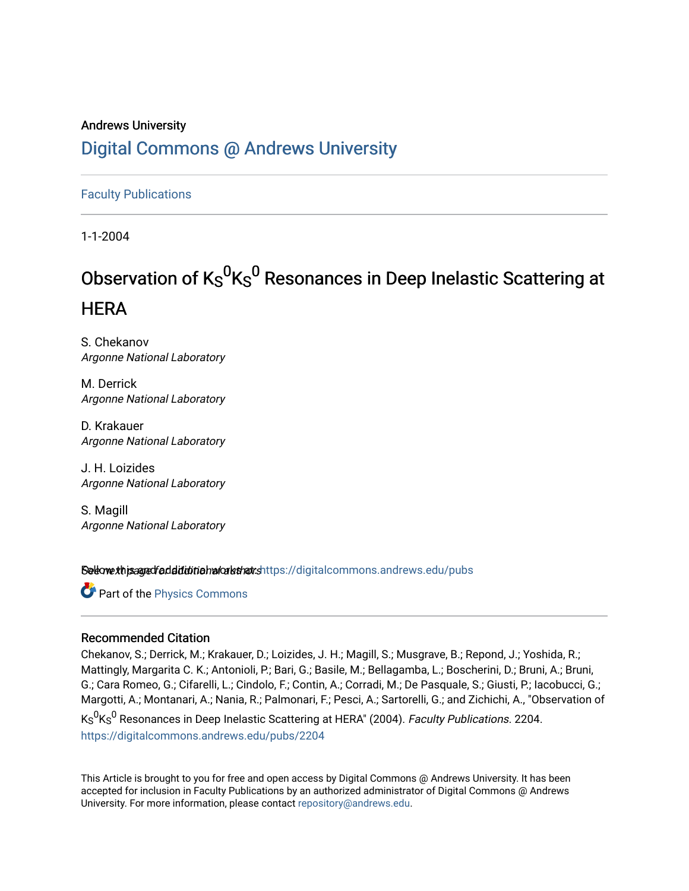## Andrews University [Digital Commons @ Andrews University](https://digitalcommons.andrews.edu/)

[Faculty Publications](https://digitalcommons.andrews.edu/pubs)

1-1-2004

# Observation of  $\mathsf{K}_{\mathsf{S}}{}^{\mathsf{0}}\mathsf{K}_{\mathsf{S}}{}^{\mathsf{0}}$  Resonances in Deep Inelastic Scattering at **HERA**

S. Chekanov Argonne National Laboratory

M. Derrick Argonne National Laboratory

D. Krakauer Argonne National Laboratory

J. H. Loizides Argonne National Laboratory

S. Magill Argonne National Laboratory

Setow this and fadditional architects://digitalcommons.andrews.edu/pubs

**Part of the [Physics Commons](http://network.bepress.com/hgg/discipline/193?utm_source=digitalcommons.andrews.edu%2Fpubs%2F2204&utm_medium=PDF&utm_campaign=PDFCoverPages)** 

#### Recommended Citation

Chekanov, S.; Derrick, M.; Krakauer, D.; Loizides, J. H.; Magill, S.; Musgrave, B.; Repond, J.; Yoshida, R.; Mattingly, Margarita C. K.; Antonioli, P.; Bari, G.; Basile, M.; Bellagamba, L.; Boscherini, D.; Bruni, A.; Bruni, G.; Cara Romeo, G.; Cifarelli, L.; Cindolo, F.; Contin, A.; Corradi, M.; De Pasquale, S.; Giusti, P.; Iacobucci, G.; Margotti, A.; Montanari, A.; Nania, R.; Palmonari, F.; Pesci, A.; Sartorelli, G.; and Zichichi, A., "Observation of Ks<sup>0</sup>Ks<sup>0</sup> Resonances in Deep Inelastic Scattering at HERA" (2004). *Faculty Publications.* 2204. [https://digitalcommons.andrews.edu/pubs/2204](https://digitalcommons.andrews.edu/pubs/2204?utm_source=digitalcommons.andrews.edu%2Fpubs%2F2204&utm_medium=PDF&utm_campaign=PDFCoverPages) 

This Article is brought to you for free and open access by Digital Commons @ Andrews University. It has been accepted for inclusion in Faculty Publications by an authorized administrator of Digital Commons @ Andrews University. For more information, please contact [repository@andrews.edu](mailto:repository@andrews.edu).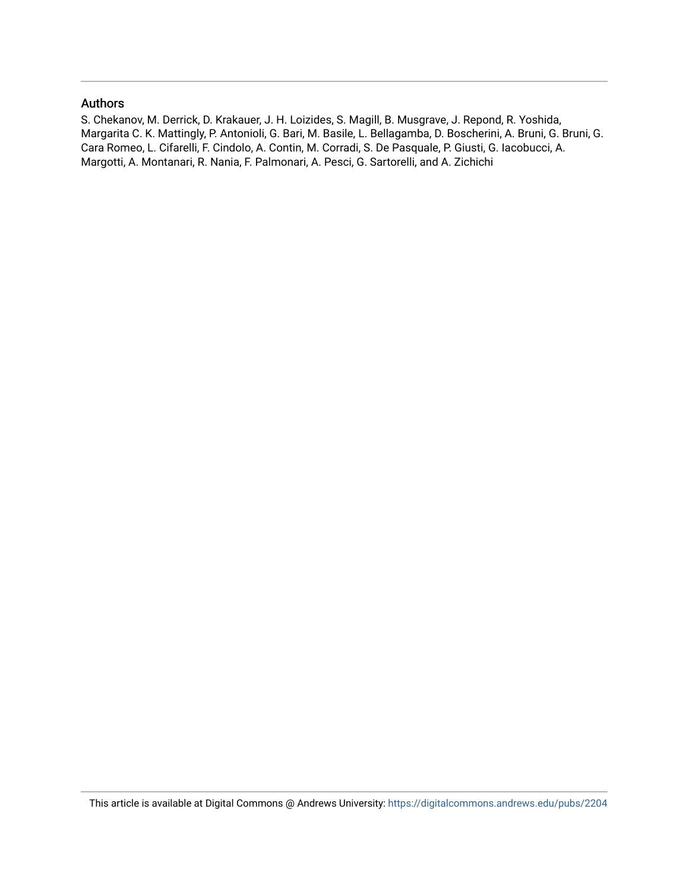#### Authors

S. Chekanov, M. Derrick, D. Krakauer, J. H. Loizides, S. Magill, B. Musgrave, J. Repond, R. Yoshida, Margarita C. K. Mattingly, P. Antonioli, G. Bari, M. Basile, L. Bellagamba, D. Boscherini, A. Bruni, G. Bruni, G. Cara Romeo, L. Cifarelli, F. Cindolo, A. Contin, M. Corradi, S. De Pasquale, P. Giusti, G. Iacobucci, A. Margotti, A. Montanari, R. Nania, F. Palmonari, A. Pesci, G. Sartorelli, and A. Zichichi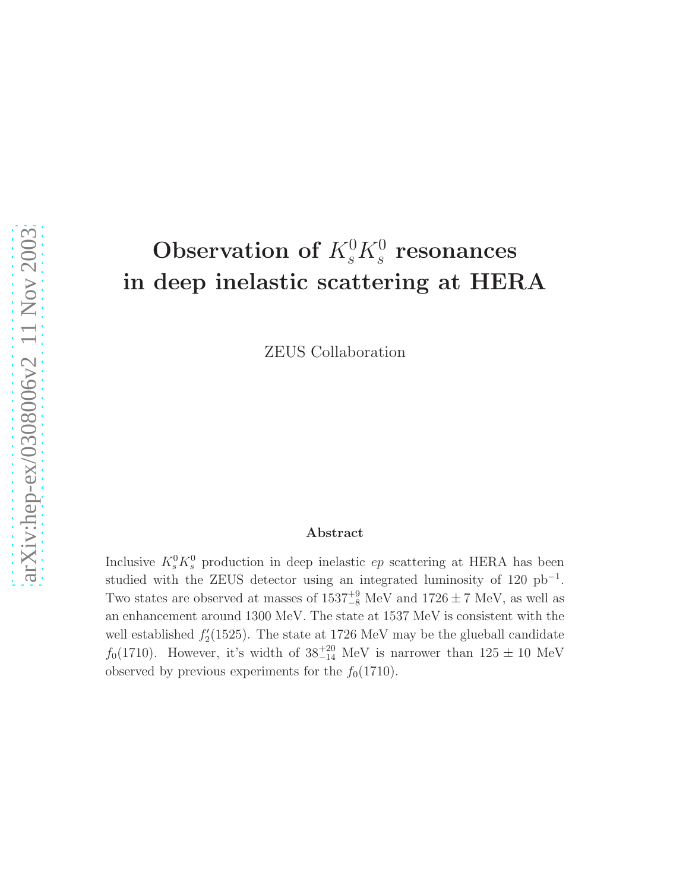# Observation of  $K_s^0 K_s^0$  resonances in deep inelastic scattering at HERA

ZEUS Collaboration

#### Abstract

Inclusive  $K_s^0 K_s^0$  production in deep inelastic  $ep$  scattering at HERA has been studied with the ZEUS detector using an integrated luminosity of  $120$  pb<sup>-1</sup>. Two states are observed at masses of  $1537^{+9}_{-8}$  MeV and  $1726 \pm 7$  MeV, as well as an enhancement around 1300 MeV. The state at 1537 MeV is consistent with the well established  $f_2'$  $2(1525)$ . The state at 1726 MeV may be the glueball candidate  $f_0(1710)$ . However, it's width of  $38^{+20}_{-14}$  MeV is narrower than  $125 \pm 10$  MeV observed by previous experiments for the  $f_0(1710)$ .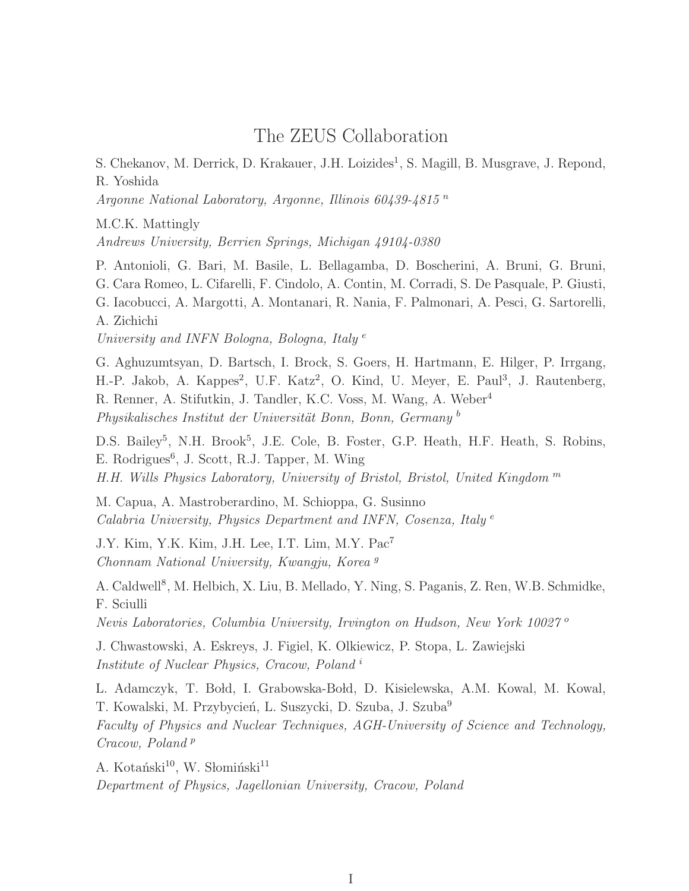## The ZEUS Collaboration

S. Chekanov, M. Derrick, D. Krakauer, J.H. Loizides<sup>1</sup>, S. Magill, B. Musgrave, J. Repond, R. Yoshida

Argonne National Laboratory, Argonne, Illinois 60439-4815 n

M.C.K. Mattingly

Andrews University, Berrien Springs, Michigan 49104-0380

P. Antonioli, G. Bari, M. Basile, L. Bellagamba, D. Boscherini, A. Bruni, G. Bruni, G. Cara Romeo, L. Cifarelli, F. Cindolo, A. Contin, M. Corradi, S. De Pasquale, P. Giusti, G. Iacobucci, A. Margotti, A. Montanari, R. Nania, F. Palmonari, A. Pesci, G. Sartorelli, A. Zichichi University and INFN Bologna, Bologna, Italy<sup>e</sup>

G. Aghuzumtsyan, D. Bartsch, I. Brock, S. Goers, H. Hartmann, E. Hilger, P. Irrgang, H.-P. Jakob, A. Kappes<sup>2</sup>, U.F. Katz<sup>2</sup>, O. Kind, U. Meyer, E. Paul<sup>3</sup>, J. Rautenberg, R. Renner, A. Stifutkin, J. Tandler, K.C. Voss, M. Wang, A. Weber<sup>4</sup> Physikalisches Institut der Universität Bonn, Bonn, Germany<sup>b</sup>

D.S. Bailey<sup>5</sup>, N.H. Brook<sup>5</sup>, J.E. Cole, B. Foster, G.P. Heath, H.F. Heath, S. Robins, E. Rodrigues<sup>6</sup>, J. Scott, R.J. Tapper, M. Wing H.H. Wills Physics Laboratory, University of Bristol, Bristol, United Kingdom  $<sup>m</sup>$ </sup>

M. Capua, A. Mastroberardino, M. Schioppa, G. Susinno Calabria University, Physics Department and INFN, Cosenza, Italy<sup>e</sup>

J.Y. Kim, Y.K. Kim, J.H. Lee, I.T. Lim, M.Y. Pac<sup>7</sup> Chonnam National University, Kwangju, Korea <sup>g</sup>

A. Caldwell<sup>8</sup>, M. Helbich, X. Liu, B. Mellado, Y. Ning, S. Paganis, Z. Ren, W.B. Schmidke, F. Sciulli

Nevis Laboratories, Columbia University, Irvington on Hudson, New York 10027 <sup>o</sup>

J. Chwastowski, A. Eskreys, J. Figiel, K. Olkiewicz, P. Stopa, L. Zawiejski Institute of Nuclear Physics, Cracow, Poland<sup>1</sup>

L. Adamczyk, T. Bołd, I. Grabowska-Bołd, D. Kisielewska, A.M. Kowal, M. Kowal, T. Kowalski, M. Przybycień, L. Suszycki, D. Szuba, J. Szuba<sup>9</sup> Faculty of Physics and Nuclear Techniques, AGH-University of Science and Technology, Cracow, Poland<sup>p</sup>

A. Kotański<sup>10</sup>, W. Słomiński<sup>11</sup> Department of Physics, Jagellonian University, Cracow, Poland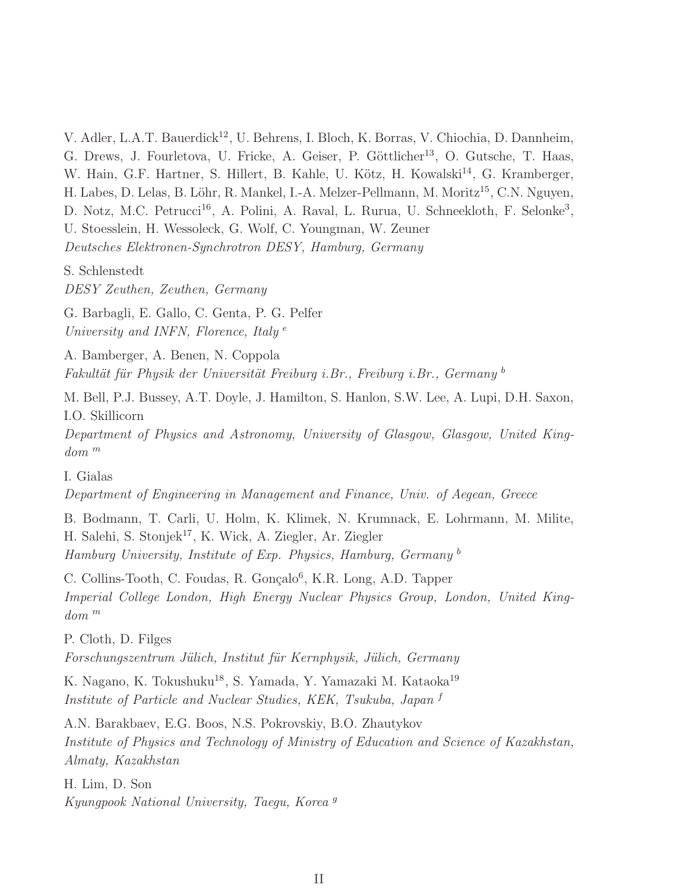V. Adler, L.A.T. Bauerdick<sup>12</sup>, U. Behrens, I. Bloch, K. Borras, V. Chiochia, D. Dannheim, G. Drews, J. Fourletova, U. Fricke, A. Geiser, P. Göttlicher<sup>13</sup>, O. Gutsche, T. Haas, W. Hain, G.F. Hartner, S. Hillert, B. Kahle, U. Kötz, H. Kowalski<sup>14</sup>, G. Kramberger, H. Labes, D. Lelas, B. Löhr, R. Mankel, I.-A. Melzer-Pellmann, M. Moritz<sup>15</sup>, C.N. Nguyen, D. Notz, M.C. Petrucci<sup>16</sup>, A. Polini, A. Raval, L. Rurua, U. Schneekloth, F. Selonke<sup>3</sup>, U. Stoesslein, H. Wessoleck, G. Wolf, C. Youngman, W. Zeuner Deutsches Elektronen-Synchrotron DESY, Hamburg, Germany

S. Schlenstedt

DESY Zeuthen, Zeuthen, Germany

G. Barbagli, E. Gallo, C. Genta, P. G. Pelfer University and INFN, Florence, Italy<sup>e</sup>

A. Bamberger, A. Benen, N. Coppola Fakultät für Physik der Universität Freiburg i.Br., Freiburg i.Br., Germany b

M. Bell, P.J. Bussey, A.T. Doyle, J. Hamilton, S. Hanlon, S.W. Lee, A. Lupi, D.H. Saxon, I.O. Skillicorn

Department of Physics and Astronomy, University of Glasgow, Glasgow, United Kingdom <sup>m</sup>

I. Gialas

Department of Engineering in Management and Finance, Univ. of Aegean, Greece

B. Bodmann, T. Carli, U. Holm, K. Klimek, N. Krumnack, E. Lohrmann, M. Milite, H. Salehi, S. Stonjek<sup>17</sup>, K. Wick, A. Ziegler, Ar. Ziegler Hamburg University, Institute of Exp. Physics, Hamburg, Germany <sup>b</sup>

C. Collins-Tooth, C. Foudas, R. Gonçalo<sup>6</sup>, K.R. Long, A.D. Tapper Imperial College London, High Energy Nuclear Physics Group, London, United Kingdom <sup>m</sup>

P. Cloth, D. Filges

Forschungszentrum Jülich, Institut für Kernphysik, Jülich, Germany

K. Nagano, K. Tokushuku<sup>18</sup>, S. Yamada, Y. Yamazaki M. Kataoka<sup>19</sup> Institute of Particle and Nuclear Studies, KEK, Tsukuba, Japan <sup>f</sup>

A.N. Barakbaev, E.G. Boos, N.S. Pokrovskiy, B.O. Zhautykov Institute of Physics and Technology of Ministry of Education and Science of Kazakhstan, Almaty, Kazakhstan

H. Lim, D. Son Kyungpook National University, Taegu, Korea <sup>g</sup>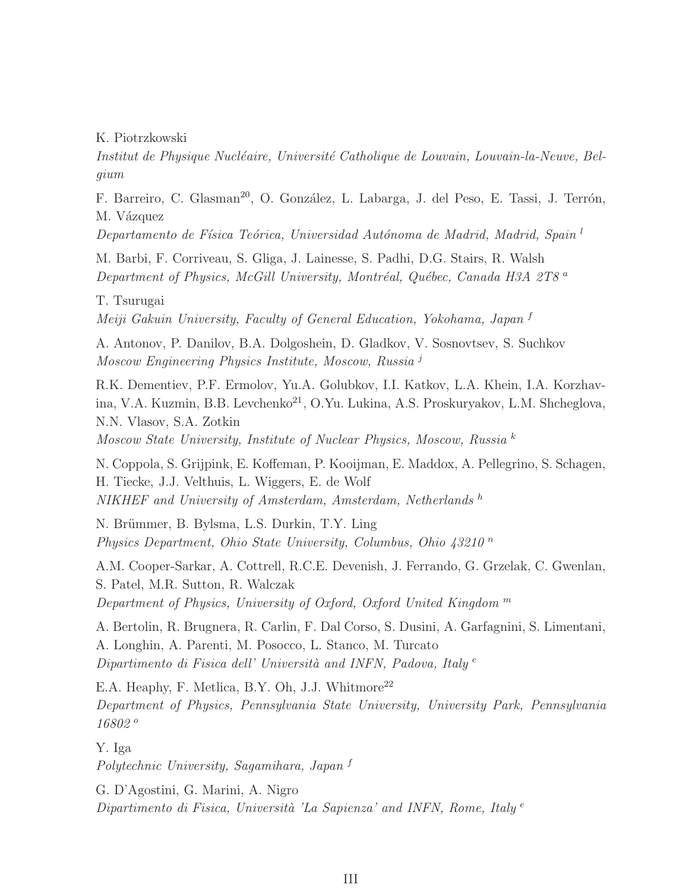K. Piotrzkowski

Institut de Physique Nucléaire, Université Catholique de Louvain, Louvain-la-Neuve, Belgium

F. Barreiro, C. Glasman<sup>20</sup>, O. González, L. Labarga, J. del Peso, E. Tassi, J. Terrón, M. Vázquez

Departamento de Física Teórica, Universidad Autónoma de Madrid, Madrid, Spain<sup>l</sup>

M. Barbi, F. Corriveau, S. Gliga, J. Lainesse, S. Padhi, D.G. Stairs, R. Walsh Department of Physics, McGill University, Montréal, Québec, Canada H3A 2T8  $a$ 

T. Tsurugai Meiji Gakuin University, Faculty of General Education, Yokohama, Japan <sup>f</sup>

A. Antonov, P. Danilov, B.A. Dolgoshein, D. Gladkov, V. Sosnovtsev, S. Suchkov Moscow Engineering Physics Institute, Moscow, Russia <sup>j</sup>

R.K. Dementiev, P.F. Ermolov, Yu.A. Golubkov, I.I. Katkov, L.A. Khein, I.A. Korzhavina, V.A. Kuzmin, B.B. Levchenko<sup>21</sup>, O.Yu. Lukina, A.S. Proskuryakov, L.M. Shcheglova, N.N. Vlasov, S.A. Zotkin

Moscow State University, Institute of Nuclear Physics, Moscow, Russia <sup>k</sup>

N. Coppola, S. Grijpink, E. Koffeman, P. Kooijman, E. Maddox, A. Pellegrino, S. Schagen, H. Tiecke, J.J. Velthuis, L. Wiggers, E. de Wolf NIKHEF and University of Amsterdam, Amsterdam, Netherlands h

N. Brümmer, B. Bylsma, L.S. Durkin, T.Y. Ling Physics Department, Ohio State University, Columbus, Ohio  $43210<sup>n</sup>$ 

A.M. Cooper-Sarkar, A. Cottrell, R.C.E. Devenish, J. Ferrando, G. Grzelak, C. Gwenlan, S. Patel, M.R. Sutton, R. Walczak Department of Physics, University of Oxford, Oxford United Kingdom <sup>m</sup>

A. Bertolin, R. Brugnera, R. Carlin, F. Dal Corso, S. Dusini, A. Garfagnini, S. Limentani, A. Longhin, A. Parenti, M. Posocco, L. Stanco, M. Turcato Dipartimento di Fisica dell' Università and INFN, Padova, Italy  $e$ 

E.A. Heaphy, F. Metlica, B.Y. Oh, J.J. Whitmore<sup>22</sup> Department of Physics, Pennsylvania State University, University Park, Pennsylvania 16802 <sup>o</sup>

Y. Iga

Polytechnic University, Sagamihara, Japan <sup>f</sup>

G. D'Agostini, G. Marini, A. Nigro Dipartimento di Fisica, Università 'La Sapienza' and INFN, Rome, Italy  $e$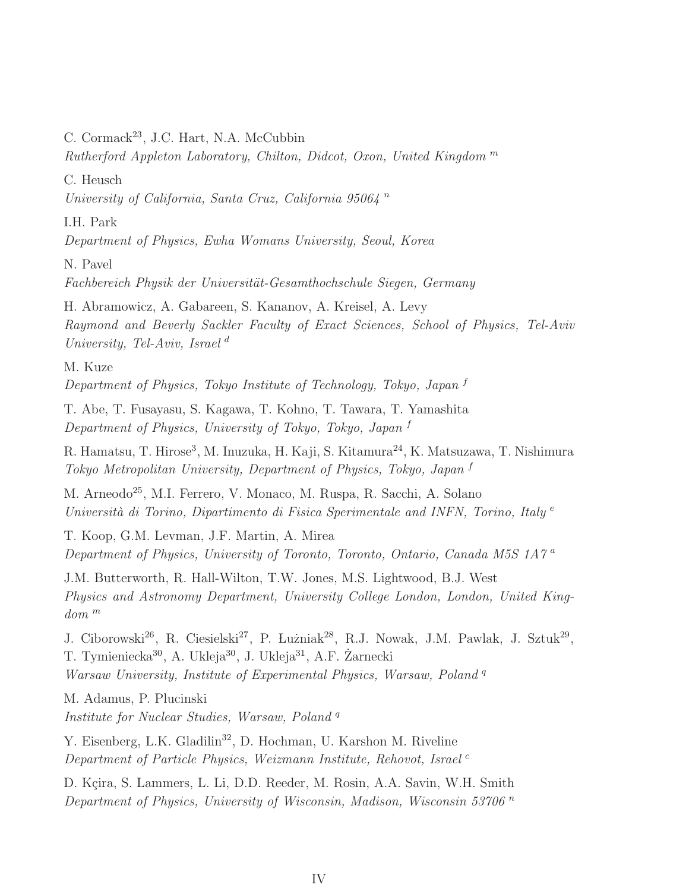C. Cormack<sup>23</sup>, J.C. Hart, N.A. McCubbin

Rutherford Appleton Laboratory, Chilton, Didcot, Oxon, United Kingdom <sup>m</sup>

C. Heusch

University of California, Santa Cruz, California 95064 <sup>n</sup>

I.H. Park

Department of Physics, Ewha Womans University, Seoul, Korea

N. Pavel

Fachbereich Physik der Universität-Gesamthochschule Siegen, Germany

H. Abramowicz, A. Gabareen, S. Kananov, A. Kreisel, A. Levy Raymond and Beverly Sackler Faculty of Exact Sciences, School of Physics, Tel-Aviv University, Tel-Aviv, Israel<sup>d</sup>

M. Kuze Department of Physics, Tokyo Institute of Technology, Tokyo, Japan  $f$ 

T. Abe, T. Fusayasu, S. Kagawa, T. Kohno, T. Tawara, T. Yamashita Department of Physics, University of Tokyo, Tokyo, Japan <sup>f</sup>

R. Hamatsu, T. Hirose<sup>3</sup>, M. Inuzuka, H. Kaji, S. Kitamura<sup>24</sup>, K. Matsuzawa, T. Nishimura Tokyo Metropolitan University, Department of Physics, Tokyo, Japan <sup>f</sup>

M. Arneodo<sup>25</sup>, M.I. Ferrero, V. Monaco, M. Ruspa, R. Sacchi, A. Solano Università di Torino, Dipartimento di Fisica Sperimentale and INFN, Torino, Italy  $e$ 

T. Koop, G.M. Levman, J.F. Martin, A. Mirea Department of Physics, University of Toronto, Toronto, Ontario, Canada M5S 1A7 <sup>a</sup>

J.M. Butterworth, R. Hall-Wilton, T.W. Jones, M.S. Lightwood, B.J. West Physics and Astronomy Department, University College London, London, United Kingdom <sup>m</sup>

J. Ciborowski<sup>26</sup>, R. Ciesielski<sup>27</sup>, P. Łużniak<sup>28</sup>, R.J. Nowak, J.M. Pawlak, J. Sztuk<sup>29</sup>, T. Tymieniecka<sup>30</sup>, A. Ukleja<sup>30</sup>, J. Ukleja<sup>31</sup>, A.F. Żarnecki Warsaw University, Institute of Experimental Physics, Warsaw, Poland<sup>q</sup>

M. Adamus, P. Plucinski

Institute for Nuclear Studies, Warsaw, Poland<sup>q</sup>

Y. Eisenberg, L.K. Gladilin<sup>32</sup>, D. Hochman, U. Karshon M. Riveline Department of Particle Physics, Weizmann Institute, Rehovot, Israel<sup>c</sup>

D. Kçira, S. Lammers, L. Li, D.D. Reeder, M. Rosin, A.A. Savin, W.H. Smith Department of Physics, University of Wisconsin, Madison, Wisconsin 53706<sup>n</sup>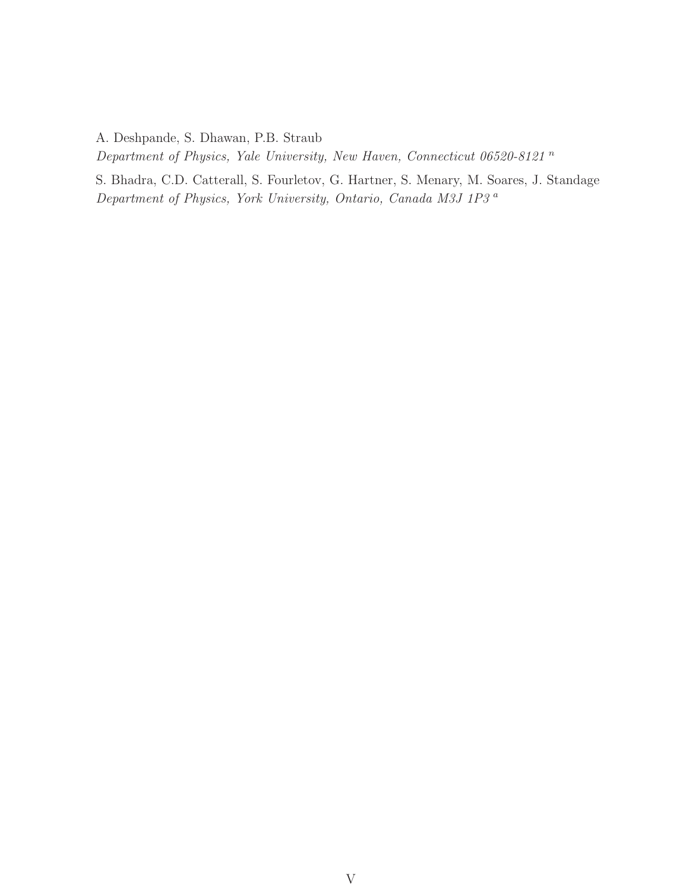A. Deshpande, S. Dhawan, P.B. Straub

Department of Physics, Yale University, New Haven, Connecticut 06520-8121 <sup>n</sup>

S. Bhadra, C.D. Catterall, S. Fourletov, G. Hartner, S. Menary, M. Soares, J. Standage Department of Physics, York University, Ontario, Canada M3J 1P3 <sup>a</sup>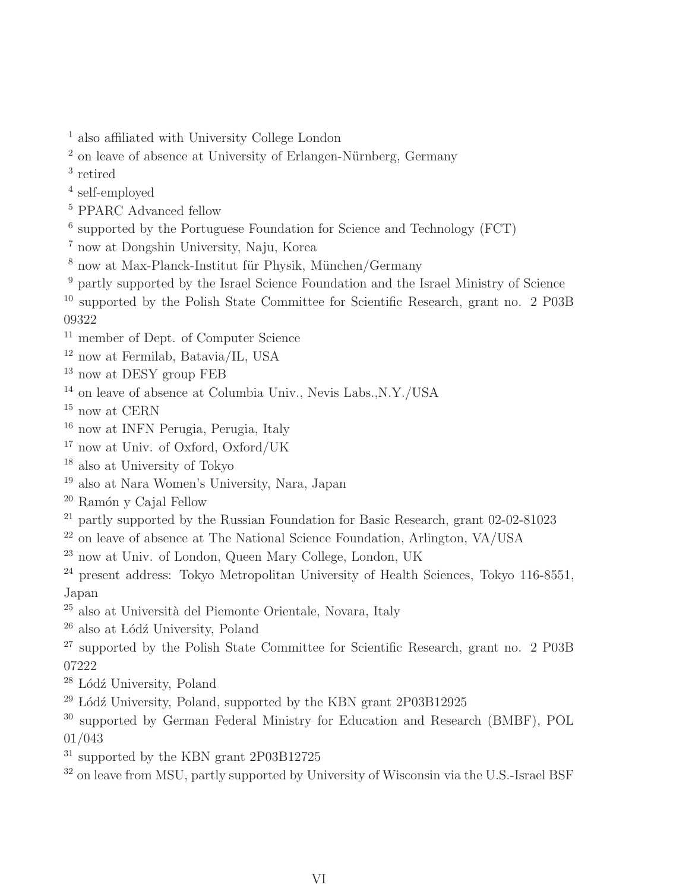- also affiliated with University College London
- on leave of absence at University of Erlangen-Nürnberg, Germany
- retired
- self-employed
- <sup>5</sup> PPARC Advanced fellow
- supported by the Portuguese Foundation for Science and Technology (FCT)
- now at Dongshin University, Naju, Korea
- $^8$ now at Max-Planck-Institut für Physik, München/Germany
- partly supported by the Israel Science Foundation and the Israel Ministry of Science

 supported by the Polish State Committee for Scientific Research, grant no. 2 P03B 

- <sup>11</sup> member of Dept. of Computer Science
- now at Fermilab, Batavia/IL, USA
- <sup>13</sup> now at DESY group FEB
- $^{14}$ on leave of absence at Columbia Univ., Nevis Labs.,N.Y./USA
- $^{15}$  now at CERN  $\,$
- now at INFN Perugia, Perugia, Italy
- now at Univ. of Oxford, Oxford/UK
- also at University of Tokyo
- also at Nara Women's University, Nara, Japan
- Ramón y Cajal Fellow
- <sup>21</sup> partly supported by the Russian Foundation for Basic Research, grant 02-02-81023
- on leave of absence at The National Science Foundation, Arlington, VA/USA
- now at Univ. of London, Queen Mary College, London, UK
- <sup>24</sup> present address: Tokyo Metropolitan University of Health Sciences, Tokyo 116-8551. Japan
- <sup>25</sup> also at Università del Piemonte Orientale, Novara, Italy
- also at Lódź University, Poland
- supported by the Polish State Committee for Scientific Research, grant no. 2 P03B
- Lódź University, Poland
- $^{29}$  Lódź University, Poland, supported by the KBN grant 2P03B12925
- supported by German Federal Ministry for Education and Research (BMBF), POL 01/043
- $31 \text{ supported by the KBN grant } 2P03B12725$
- on leave from MSU, partly supported by University of Wisconsin via the U.S.-Israel BSF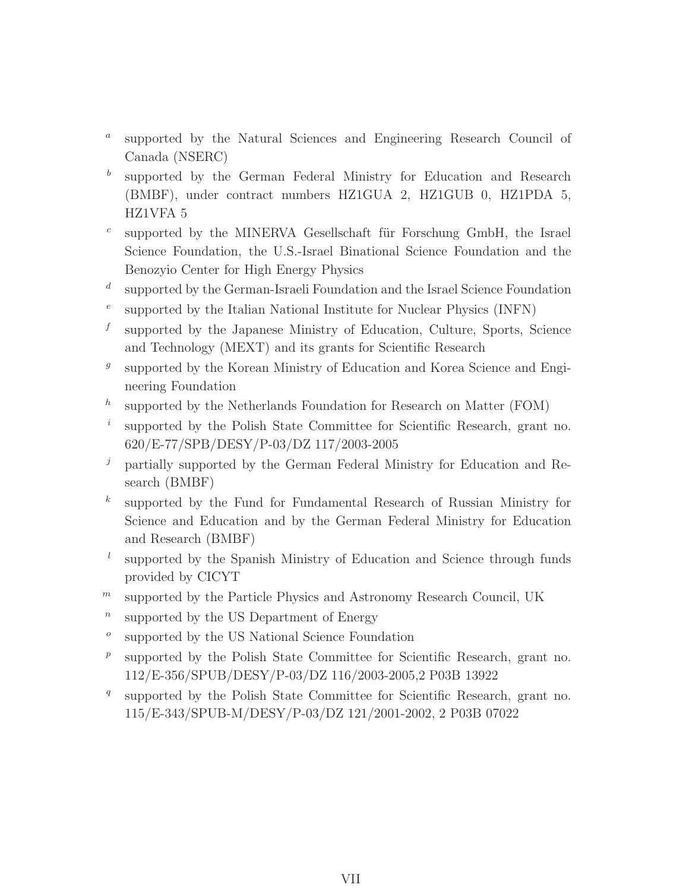- $\boldsymbol{a}$ supported by the Natural Sciences and Engineering Research Council of Canada (NSERC)
- b supported by the German Federal Ministry for Education and Research (BMBF), under contract numbers HZ1GUA 2, HZ1GUB 0, HZ1PDA 5, HZ1VFA 5
- c supported by the MINERVA Gesellschaft für Forschung GmbH, the Israel Science Foundation, the U.S.-Israel Binational Science Foundation and the Benozyio Center for High Energy Physics
- $\overline{d}$ supported by the German-Israeli Foundation and the Israel Science Foundation
- e supported by the Italian National Institute for Nuclear Physics (INFN)
- f supported by the Japanese Ministry of Education, Culture, Sports, Science and Technology (MEXT) and its grants for Scientific Research
- $\ensuremath{g}$ supported by the Korean Ministry of Education and Korea Science and Engineering Foundation
- h supported by the Netherlands Foundation for Research on Matter (FOM)
- i supported by the Polish State Committee for Scientific Research, grant no. 620/E-77/SPB/DESY/P-03/DZ 117/2003-2005
- $j$  partially supported by the German Federal Ministry for Education and Research (BMBF)
- $k$ supported by the Fund for Fundamental Research of Russian Ministry for Science and Education and by the German Federal Ministry for Education and Research (BMBF)
- l supported by the Spanish Ministry of Education and Science through funds provided by CICYT
- $<sup>m</sup>$  supported by the Particle Physics and Astronomy Research Council, UK</sup>
- $\boldsymbol{n}$ supported by the US Department of Energy
- o supported by the US National Science Foundation
- $\,p\,$ supported by the Polish State Committee for Scientific Research, grant no. 112/E-356/SPUB/DESY/P-03/DZ 116/2003-2005,2 P03B 13922
- q supported by the Polish State Committee for Scientific Research, grant no. 115/E-343/SPUB-M/DESY/P-03/DZ 121/2001-2002, 2 P03B 07022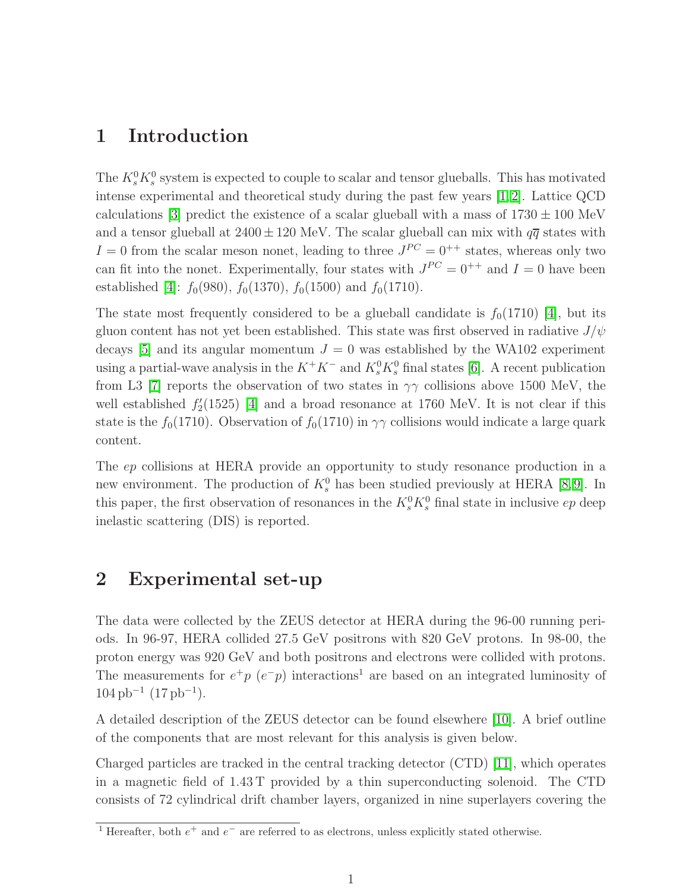#### 1 Introduction

The  $K_s^0 K_s^0$  system is expected to couple to scalar and tensor glueballs. This has motivated intense experimental and theoretical study during the past few years  $[1, 2]$ . Lattice QCD calculations [3] predict the existence of a scalar glueball with a mass of  $1730 \pm 100$  MeV and a tensor glueball at  $2400 \pm 120$  MeV. The scalar glueball can mix with  $q\bar{q}$  states with  $I = 0$  from the scalar meson nonet, leading to three  $J^{PC} = 0^{++}$  states, whereas only two can fit into the nonet. Experimentally, four states with  $J^{PC} = 0^{++}$  and  $I = 0$  have been established [4]:  $f_0(980)$ ,  $f_0(1370)$ ,  $f_0(1500)$  and  $f_0(1710)$ .

The state most frequently considered to be a glueball candidate is  $f_0(1710)$  [4], but its gluon content has not yet been established. This state was first observed in radiative  $J/\psi$ decays [5] and its angular momentum  $J = 0$  was established by the WA102 experiment using a partial-wave analysis in the  $K^+K^-$  and  $K_s^0K_s^0$  final states [6]. A recent publication from L3 [7] reports the observation of two states in  $\gamma\gamma$  collisions above 1500 MeV, the well established  $f_2'$  $2(1525)$  [4] and a broad resonance at 1760 MeV. It is not clear if this state is the  $f_0(1710)$ . Observation of  $f_0(1710)$  in  $\gamma\gamma$  collisions would indicate a large quark content.

The ep collisions at HERA provide an opportunity to study resonance production in a new environment. The production of  $K_s^0$  has been studied previously at HERA [8,9]. In this paper, the first observation of resonances in the  $K_s^0 K_s^0$  final state in inclusive ep deep inelastic scattering (DIS) is reported.

#### 2 Experimental set-up

The data were collected by the ZEUS detector at HERA during the 96-00 running periods. In 96-97, HERA collided 27.5 GeV positrons with 820 GeV protons. In 98-00, the proton energy was 920 GeV and both positrons and electrons were collided with protons. The measurements for  $e^+p$  ( $e^-p$ ) interactions<sup>1</sup> are based on an integrated luminosity of  $104\,\mathrm{pb}^{-1}\ (17\,\mathrm{pb}^{-1}).$ 

A detailed description of the ZEUS detector can be found elsewhere [10]. A brief outline of the components that are most relevant for this analysis is given below.

Charged particles are tracked in the central tracking detector (CTD) [11], which operates in a magnetic field of 1.43 T provided by a thin superconducting solenoid. The CTD consists of 72 cylindrical drift chamber layers, organized in nine superlayers covering the

<sup>&</sup>lt;sup>1</sup> Hereafter, both  $e^+$  and  $e^-$  are referred to as electrons, unless explicitly stated otherwise.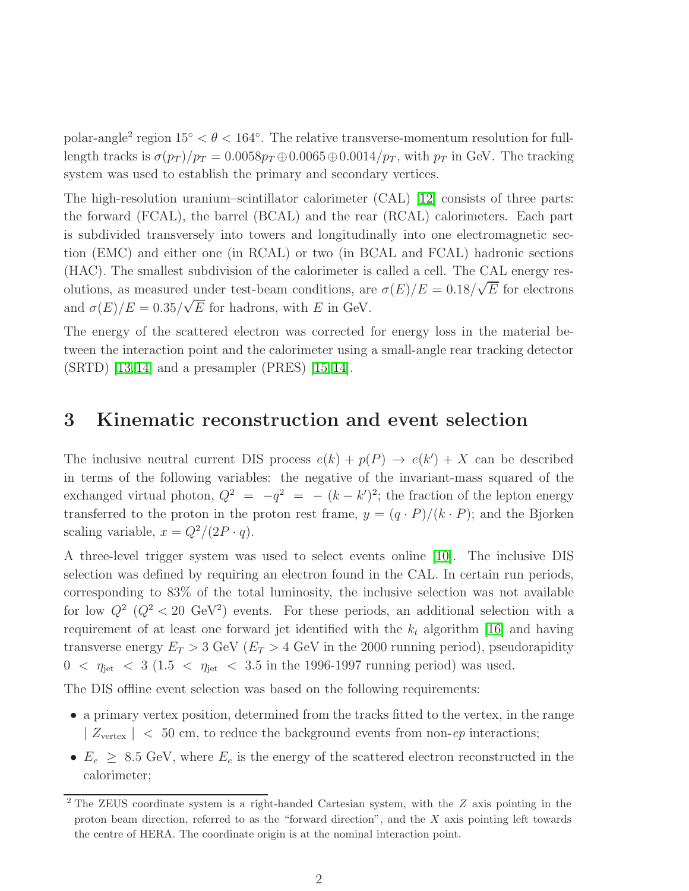polar-angle<sup>2</sup> region  $15° < \theta < 164°$ . The relative transverse-momentum resolution for fulllength tracks is  $\sigma(p_T)/p_T = 0.0058p_T \oplus 0.0065 \oplus 0.0014/p_T$ , with  $p_T$  in GeV. The tracking system was used to establish the primary and secondary vertices.

The high-resolution uranium–scintillator calorimeter (CAL) [12] consists of three parts: the forward (FCAL), the barrel (BCAL) and the rear (RCAL) calorimeters. Each part is subdivided transversely into towers and longitudinally into one electromagnetic section (EMC) and either one (in RCAL) or two (in BCAL and FCAL) hadronic sections (HAC). The smallest subdivision of the calorimeter is called a cell. The CAL energy resolutions, as measured under test-beam conditions, are  $\sigma(E)/E = 0.18/\sqrt{E}$  for electrons and  $\sigma(E)/E = 0.35/\sqrt{E}$  for hadrons, with E in GeV.

The energy of the scattered electron was corrected for energy loss in the material between the interaction point and the calorimeter using a small-angle rear tracking detector (SRTD) [13, 14] and a presampler (PRES) [15, 14].

#### 3 Kinematic reconstruction and event selection

The inclusive neutral current DIS process  $e(k) + p(P) \rightarrow e(k') + X$  can be described in terms of the following variables: the negative of the invariant-mass squared of the exchanged virtual photon,  $Q^2 = -q^2 = -(k - k')^2$ ; the fraction of the lepton energy transferred to the proton in the proton rest frame,  $y = (q \cdot P)/(k \cdot P)$ ; and the Bjorken scaling variable,  $x = Q^2/(2P \cdot q)$ .

A three-level trigger system was used to select events online [10]. The inclusive DIS selection was defined by requiring an electron found in the CAL. In certain run periods, corresponding to 83% of the total luminosity, the inclusive selection was not available for low  $Q^2$  ( $Q^2 < 20$  GeV<sup>2</sup>) events. For these periods, an additional selection with a requirement of at least one forward jet identified with the  $k_t$  algorithm [16] and having transverse energy  $E_T > 3$  GeV ( $E_T > 4$  GeV in the 2000 running period), pseudorapidity  $0 < \eta_{jet} < 3$  (1.5 <  $\eta_{jet} < 3.5$  in the 1996-1997 running period) was used.

The DIS offline event selection was based on the following requirements:

- a primary vertex position, determined from the tracks fitted to the vertex, in the range  $| Z_{\text{vertex}} | < 50 \text{ cm}$ , to reduce the background events from non-ep interactions;
- $E_e \geq 8.5$  GeV, where  $E_e$  is the energy of the scattered electron reconstructed in the calorimeter;

<sup>&</sup>lt;sup>2</sup> The ZEUS coordinate system is a right-handed Cartesian system, with the *Z* axis pointing in the proton beam direction, referred to as the "forward direction", and the X axis pointing left towards the centre of HERA. The coordinate origin is at the nominal interaction point.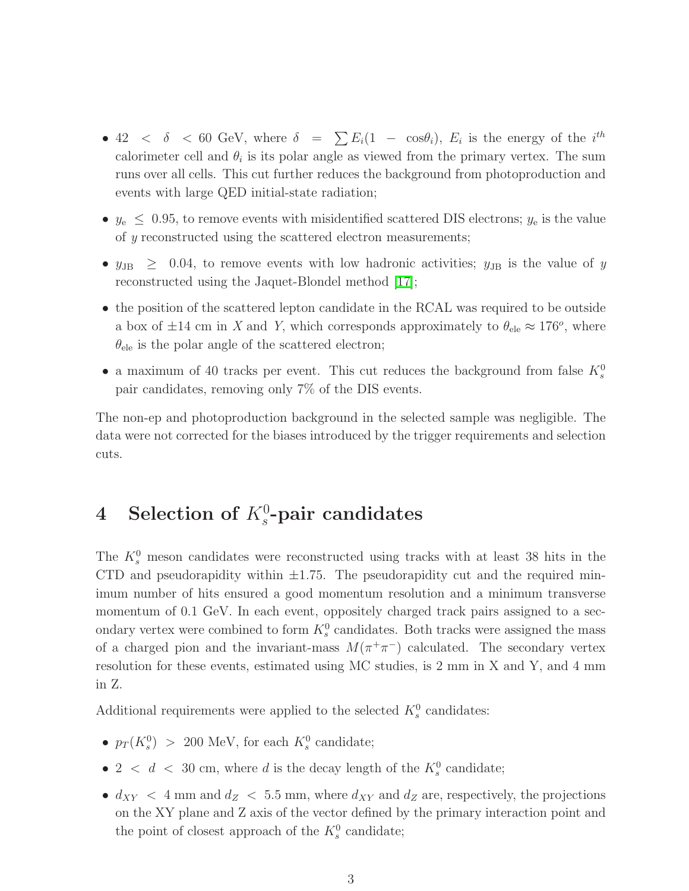- 42  $\langle \delta \rangle$  < 60 GeV, where  $\delta = \sum E_i(1 \cos \theta_i)$ ,  $E_i$  is the energy of the *i*<sup>th</sup> calorimeter cell and  $\theta_i$  is its polar angle as viewed from the primary vertex. The sum runs over all cells. This cut further reduces the background from photoproduction and events with large QED initial-state radiation;
- $y_e \leq 0.95$ , to remove events with misidentified scattered DIS electrons;  $y_e$  is the value of y reconstructed using the scattered electron measurements;
- $y_{\text{JB}} \geq 0.04$ , to remove events with low hadronic activities;  $y_{\text{JB}}$  is the value of y reconstructed using the Jaquet-Blondel method [17];
- the position of the scattered lepton candidate in the RCAL was required to be outside a box of  $\pm 14$  cm in X and Y, which corresponds approximately to  $\theta_{\text{ele}} \approx 176^o$ , where  $\theta_{\text{ele}}$  is the polar angle of the scattered electron;
- a maximum of 40 tracks per event. This cut reduces the background from false  $K_s^0$ pair candidates, removing only 7% of the DIS events.

The non-ep and photoproduction background in the selected sample was negligible. The data were not corrected for the biases introduced by the trigger requirements and selection cuts.

## 4 Selection of  $K_s^0$ -pair candidates

The  $K_s^0$  meson candidates were reconstructed using tracks with at least 38 hits in the CTD and pseudorapidity within  $\pm 1.75$ . The pseudorapidity cut and the required minimum number of hits ensured a good momentum resolution and a minimum transverse momentum of 0.1 GeV. In each event, oppositely charged track pairs assigned to a secondary vertex were combined to form  $K_s^0$  candidates. Both tracks were assigned the mass of a charged pion and the invariant-mass  $M(\pi^+\pi^-)$  calculated. The secondary vertex resolution for these events, estimated using MC studies, is 2 mm in X and Y, and 4 mm in Z.

Additional requirements were applied to the selected  $K_s^0$  candidates:

- $p_T(K_s^0) > 200$  MeV, for each  $K_s^0$  candidate;
- 2 <  $d$  < 30 cm, where  $d$  is the decay length of the  $K_s^0$  candidate;
- $d_{XY} < 4$  mm and  $d_Z < 5.5$  mm, where  $d_{XY}$  and  $d_Z$  are, respectively, the projections on the XY plane and Z axis of the vector defined by the primary interaction point and the point of closest approach of the  $K_s^0$  candidate;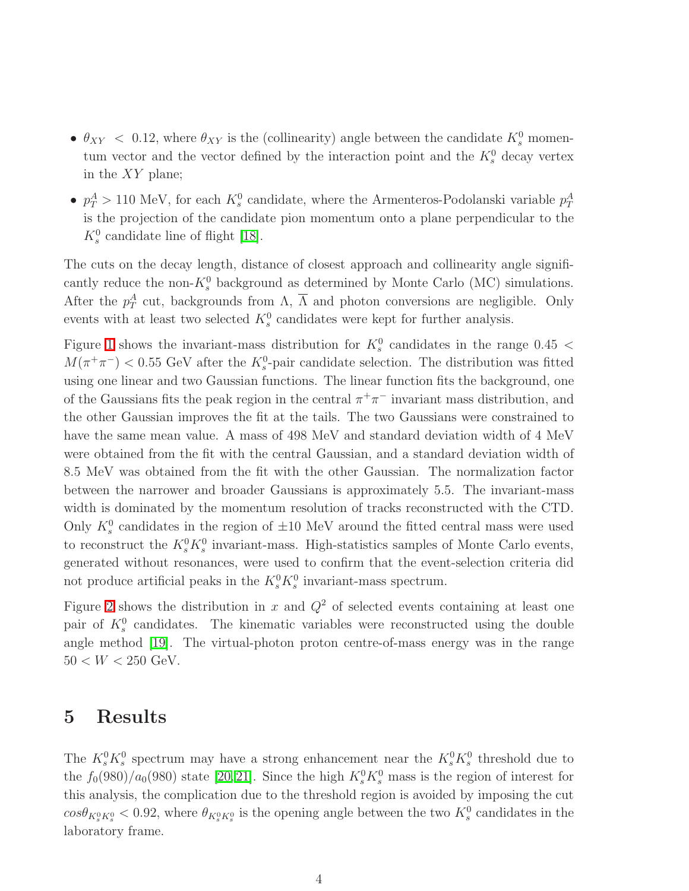- $\theta_{XY}$  < 0.12, where  $\theta_{XY}$  is the (collinearity) angle between the candidate  $K_s^0$  momentum vector and the vector defined by the interaction point and the  $K_s^0$  decay vertex in the XY plane;
- $p_T^A > 110 \text{ MeV}$ , for each  $K_s^0$  candidate, where the Armenteros-Podolanski variable  $p_T^A$ is the projection of the candidate pion momentum onto a plane perpendicular to the  $K_s^0$  candidate line of flight [18].

The cuts on the decay length, distance of closest approach and collinearity angle significantly reduce the non- $K_s^0$  background as determined by Monte Carlo (MC) simulations. After the  $p_T^A$  cut, backgrounds from  $\Lambda$ ,  $\overline{\Lambda}$  and photon conversions are negligible. Only events with at least two selected  $K_s^0$  candidates were kept for further analysis.

Figure [1](#page-19-0) shows the invariant-mass distribution for  $K_s^0$  candidates in the range 0.45 <  $M(\pi^+\pi^-)$  < 0.55 GeV after the  $K_s^0$ -pair candidate selection. The distribution was fitted using one linear and two Gaussian functions. The linear function fits the background, one of the Gaussians fits the peak region in the central  $\pi^+\pi^-$  invariant mass distribution, and the other Gaussian improves the fit at the tails. The two Gaussians were constrained to have the same mean value. A mass of 498 MeV and standard deviation width of 4 MeV were obtained from the fit with the central Gaussian, and a standard deviation width of 8.5 MeV was obtained from the fit with the other Gaussian. The normalization factor between the narrower and broader Gaussians is approximately 5.5. The invariant-mass width is dominated by the momentum resolution of tracks reconstructed with the CTD. Only  $K_s^0$  candidates in the region of  $\pm 10$  MeV around the fitted central mass were used to reconstruct the  $K_s^0 K_s^0$  invariant-mass. High-statistics samples of Monte Carlo events, generated without resonances, were used to confirm that the event-selection criteria did not produce artificial peaks in the  $K_s^0 K_s^0$  invariant-mass spectrum.

Figure [2](#page-20-0) shows the distribution in x and  $Q^2$  of selected events containing at least one pair of  $K_s^0$  candidates. The kinematic variables were reconstructed using the double angle method [19]. The virtual-photon proton centre-of-mass energy was in the range  $50 < W < 250$  GeV.

#### 5 Results

The  $K_s^0 K_s^0$  spectrum may have a strong enhancement near the  $K_s^0 K_s^0$  threshold due to the  $f_0(980)/a_0(980)$  state [20, 21]. Since the high  $K_s^0 K_s^0$  mass is the region of interest for this analysis, the complication due to the threshold region is avoided by imposing the cut  $cos\theta_{K_s^0K_s^0}$  < 0.92, where  $\theta_{K_s^0K_s^0}$  is the opening angle between the two  $K_s^0$  candidates in the laboratory frame.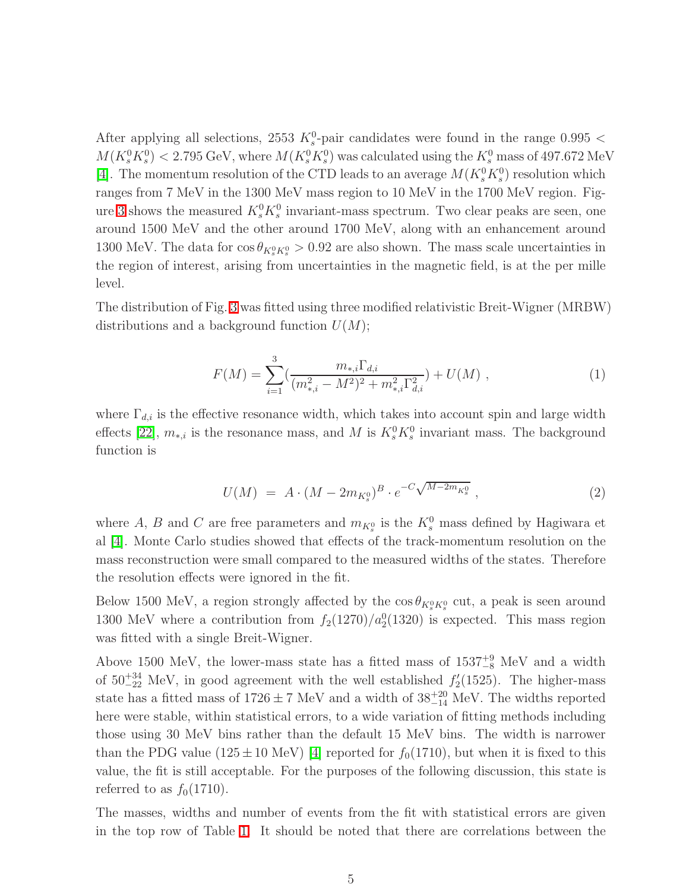After applying all selections, 2553  $K_s^0$ -pair candidates were found in the range 0.995 <  $M(K_s^0 K_s^0) < 2.795 \text{ GeV}$ , where  $M(K_s^0 K_s^0)$  was calculated using the  $K_s^0$  mass of 497.672 MeV [4]. The momentum resolution of the CTD leads to an average  $M(K_s^0 K_s^0)$  resolution which ranges from 7 MeV in the 1300 MeV mass region to 10 MeV in the 1700 MeV region. Fig-ure [3](#page-21-0) shows the measured  $K_s^0 K_s^0$  invariant-mass spectrum. Two clear peaks are seen, one around 1500 MeV and the other around 1700 MeV, along with an enhancement around 1300 MeV. The data for  $\cos \theta_{K^0_s K^0_s} > 0.92$  are also shown. The mass scale uncertainties in the region of interest, arising from uncertainties in the magnetic field, is at the per mille level.

The distribution of Fig. [3](#page-21-0) was fitted using three modified relativistic Breit-Wigner (MRBW) distributions and a background function  $U(M)$ ;

$$
F(M) = \sum_{i=1}^{3} \left( \frac{m_{*,i} \Gamma_{d,i}}{(m_{*,i}^2 - M^2)^2 + m_{*,i}^2 \Gamma_{d,i}^2} \right) + U(M) , \qquad (1)
$$

where  $\Gamma_{d,i}$  is the effective resonance width, which takes into account spin and large width effects [22],  $m_{*,i}$  is the resonance mass, and M is  $K_s^0 K_s^0$  invariant mass. The background function is

$$
U(M) = A \cdot (M - 2m_{K^0_s})^B \cdot e^{-C\sqrt{M - 2m_{K^0_s}}}, \qquad (2)
$$

where A, B and C are free parameters and  $m_{K^0_s}$  is the  $K^0_s$  mass defined by Hagiwara et al [4]. Monte Carlo studies showed that effects of the track-momentum resolution on the mass reconstruction were small compared to the measured widths of the states. Therefore the resolution effects were ignored in the fit.

Below 1500 MeV, a region strongly affected by the  $\cos \theta_{K^0_s K^0_s}$  cut, a peak is seen around 1300 MeV where a contribution from  $f_2(1270)/a_2^0(1320)$  is expected. This mass region was fitted with a single Breit-Wigner.

Above 1500 MeV, the lower-mass state has a fitted mass of  $1537^{+9}_{-8}$  MeV and a width of  $50^{+34}_{-22}$  MeV, in good agreement with the well established  $f'_2$  $2(1525)$ . The higher-mass state has a fitted mass of  $1726 \pm 7$  MeV and a width of  $38^{+20}_{-14}$  MeV. The widths reported here were stable, within statistical errors, to a wide variation of fitting methods including those using 30 MeV bins rather than the default 15 MeV bins. The width is narrower than the PDG value (125  $\pm$  10 MeV) [4] reported for  $f_0(1710)$ , but when it is fixed to this value, the fit is still acceptable. For the purposes of the following discussion, this state is referred to as  $f_0(1710)$ .

The masses, widths and number of events from the fit with statistical errors are given in the top row of Table [1.](#page-18-0) It should be noted that there are correlations between the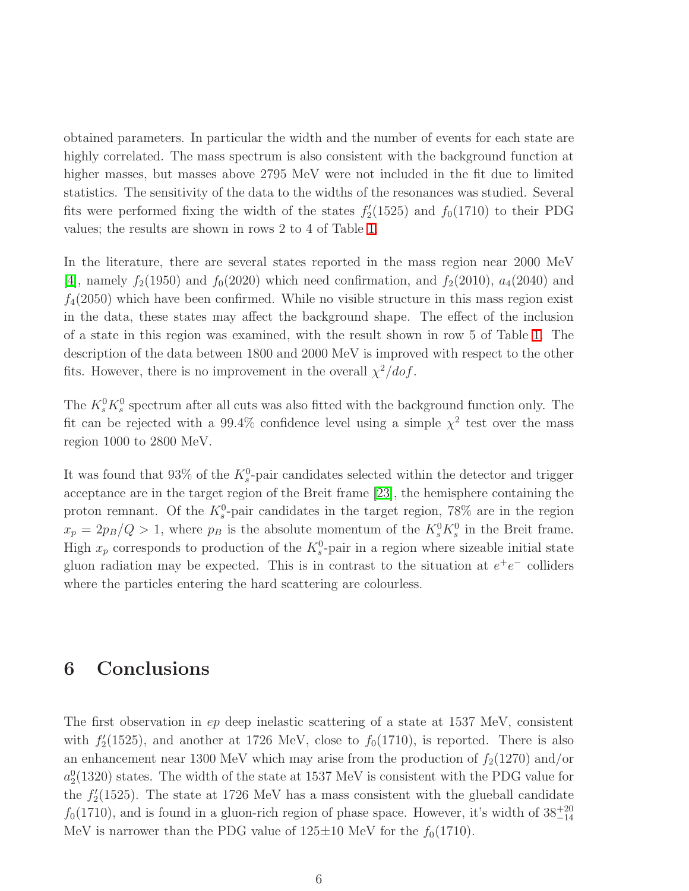obtained parameters. In particular the width and the number of events for each state are highly correlated. The mass spectrum is also consistent with the background function at higher masses, but masses above 2795 MeV were not included in the fit due to limited statistics. The sensitivity of the data to the widths of the resonances was studied. Several fits were performed fixing the width of the states  $f_2'$  $f_2'(1525)$  and  $f_0(1710)$  to their PDG values; the results are shown in rows 2 to 4 of Table [1.](#page-18-0)

In the literature, there are several states reported in the mass region near 2000 MeV [4], namely  $f_2(1950)$  and  $f_0(2020)$  which need confirmation, and  $f_2(2010)$ ,  $a_4(2040)$  and  $f_4(2050)$  which have been confirmed. While no visible structure in this mass region exist in the data, these states may affect the background shape. The effect of the inclusion of a state in this region was examined, with the result shown in row 5 of Table [1.](#page-18-0) The description of the data between 1800 and 2000 MeV is improved with respect to the other fits. However, there is no improvement in the overall  $\chi^2/dof$ .

The  $K_s^0 K_s^0$  spectrum after all cuts was also fitted with the background function only. The fit can be rejected with a 99.4% confidence level using a simple  $\chi^2$  test over the mass region 1000 to 2800 MeV.

It was found that 93% of the  $K_s^0$ -pair candidates selected within the detector and trigger acceptance are in the target region of the Breit frame [23], the hemisphere containing the proton remnant. Of the  $K_s^0$ -pair candidates in the target region, 78% are in the region  $x_p = 2p_B/Q > 1$ , where  $p_B$  is the absolute momentum of the  $K_s^0 K_s^0$  in the Breit frame. High  $x_p$  corresponds to production of the  $K_s^0$ -pair in a region where sizeable initial state gluon radiation may be expected. This is in contrast to the situation at  $e^+e^-$  colliders where the particles entering the hard scattering are colourless.

#### 6 Conclusions

The first observation in ep deep inelastic scattering of a state at 1537 MeV, consistent with  $f_2'$  $J_2'(1525)$ , and another at 1726 MeV, close to  $f_0(1710)$ , is reported. There is also an enhancement near 1300 MeV which may arise from the production of  $f_2(1270)$  and/or  $a_2^0(1320)$  states. The width of the state at 1537 MeV is consistent with the PDG value for the  $f_2'$  $\frac{2}{2}(1525)$ . The state at 1726 MeV has a mass consistent with the glueball candidate  $f_0(1710)$ , and is found in a gluon-rich region of phase space. However, it's width of  $38^{+20}_{-14}$ MeV is narrower than the PDG value of  $125\pm10$  MeV for the  $f_0(1710)$ .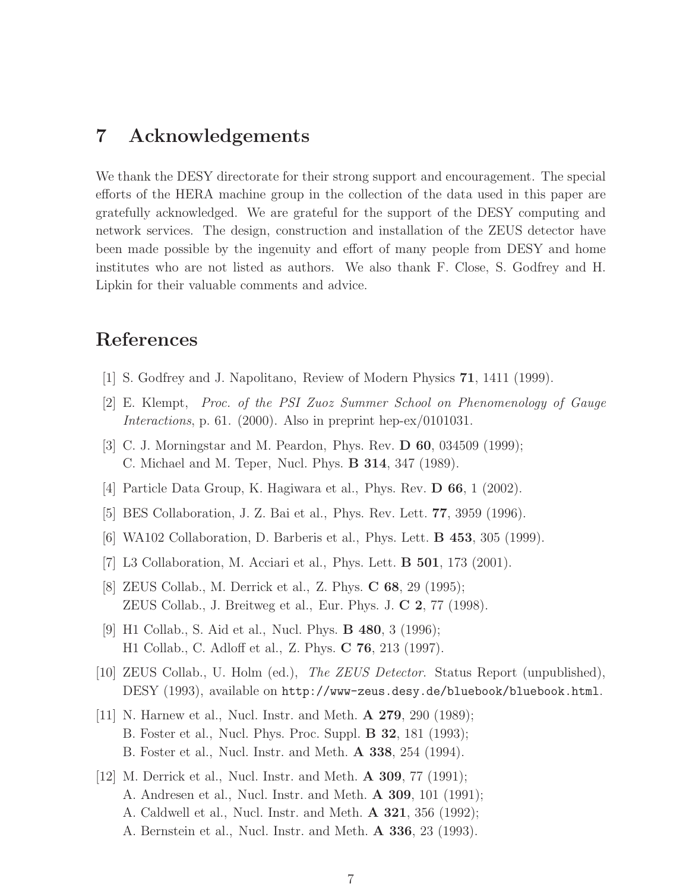#### 7 Acknowledgements

We thank the DESY directorate for their strong support and encouragement. The special efforts of the HERA machine group in the collection of the data used in this paper are gratefully acknowledged. We are grateful for the support of the DESY computing and network services. The design, construction and installation of the ZEUS detector have been made possible by the ingenuity and effort of many people from DESY and home institutes who are not listed as authors. We also thank F. Close, S. Godfrey and H. Lipkin for their valuable comments and advice.

## References

- [1] S. Godfrey and J. Napolitano, Review of Modern Physics 71, 1411 (1999).
- [2] E. Klempt, Proc. of the PSI Zuoz Summer School on Phenomenology of Gauge Interactions, p. 61. (2000). Also in preprint hep-ex/0101031.
- [3] C. J. Morningstar and M. Peardon, Phys. Rev. **D 60**, 034509 (1999); C. Michael and M. Teper, Nucl. Phys. B 314, 347 (1989).
- [4] Particle Data Group, K. Hagiwara et al., Phys. Rev. **D 66**, 1 (2002).
- [5] BES Collaboration, J. Z. Bai et al., Phys. Rev. Lett. 77, 3959 (1996).
- [6] WA102 Collaboration, D. Barberis et al., Phys. Lett. B 453, 305 (1999).
- [7] L3 Collaboration, M. Acciari et al., Phys. Lett. B 501, 173 (2001).
- [8] ZEUS Collab., M. Derrick et al., Z. Phys. C 68, 29 (1995); ZEUS Collab., J. Breitweg et al., Eur. Phys. J. C 2, 77 (1998).
- [9] H1 Collab., S. Aid et al., Nucl. Phys. B 480, 3 (1996); H1 Collab., C. Adloff et al., Z. Phys. C 76, 213 (1997).
- [10] ZEUS Collab., U. Holm (ed.), The ZEUS Detector. Status Report (unpublished), DESY (1993), available on http://www-zeus.desy.de/bluebook/bluebook.html.
- [11] N. Harnew et al., Nucl. Instr. and Meth. A 279, 290 (1989); B. Foster et al., Nucl. Phys. Proc. Suppl. B 32, 181 (1993); B. Foster et al., Nucl. Instr. and Meth. A 338, 254 (1994).
- [12] M. Derrick et al., Nucl. Instr. and Meth. **A 309**, 77 (1991); A. Andresen et al., Nucl. Instr. and Meth. A 309, 101 (1991); A. Caldwell et al., Nucl. Instr. and Meth. A 321, 356 (1992); A. Bernstein et al., Nucl. Instr. and Meth. A 336, 23 (1993).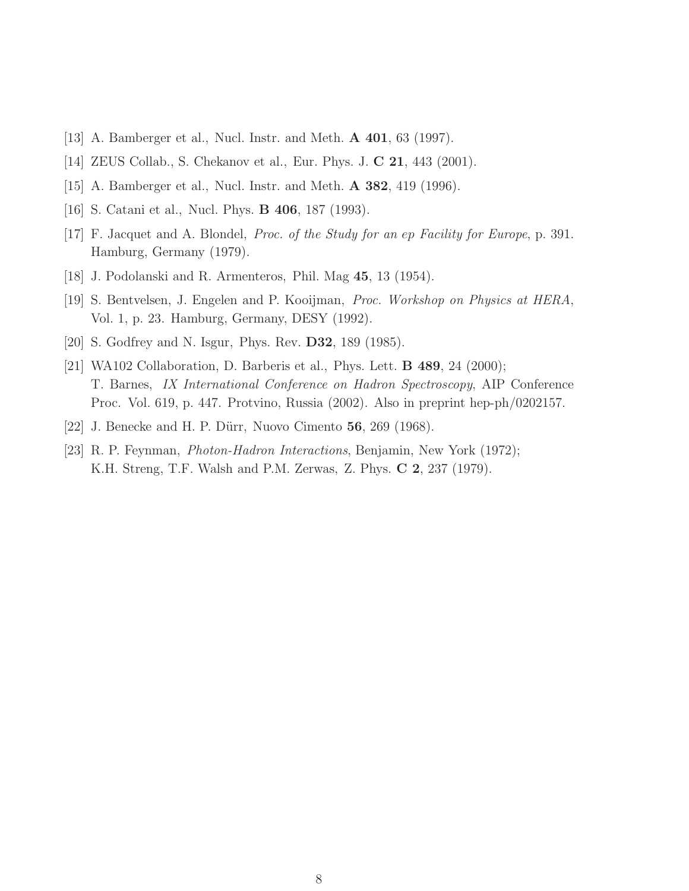- [13] A. Bamberger et al., Nucl. Instr. and Meth. A 401, 63 (1997).
- [14] ZEUS Collab., S. Chekanov et al., Eur. Phys. J. C 21, 443 (2001).
- [15] A. Bamberger et al., Nucl. Instr. and Meth. A 382, 419 (1996).
- [16] S. Catani et al., Nucl. Phys. B 406, 187 (1993).
- [17] F. Jacquet and A. Blondel, Proc. of the Study for an ep Facility for Europe, p. 391. Hamburg, Germany (1979).
- [18] J. Podolanski and R. Armenteros, Phil. Mag 45, 13 (1954).
- [19] S. Bentvelsen, J. Engelen and P. Kooijman, Proc. Workshop on Physics at HERA, Vol. 1, p. 23. Hamburg, Germany, DESY (1992).
- [20] S. Godfrey and N. Isgur, Phys. Rev. D32, 189 (1985).
- [21] WA102 Collaboration, D. Barberis et al., Phys. Lett. **B 489**, 24 (2000); T. Barnes, IX International Conference on Hadron Spectroscopy, AIP Conference Proc. Vol. 619, p. 447. Protvino, Russia (2002). Also in preprint hep-ph/0202157.
- [22] J. Benecke and H. P. Dürr, Nuovo Cimento **56**, 269 (1968).
- [23] R. P. Feynman, Photon-Hadron Interactions, Benjamin, New York (1972); K.H. Streng, T.F. Walsh and P.M. Zerwas, Z. Phys. C 2, 237 (1979).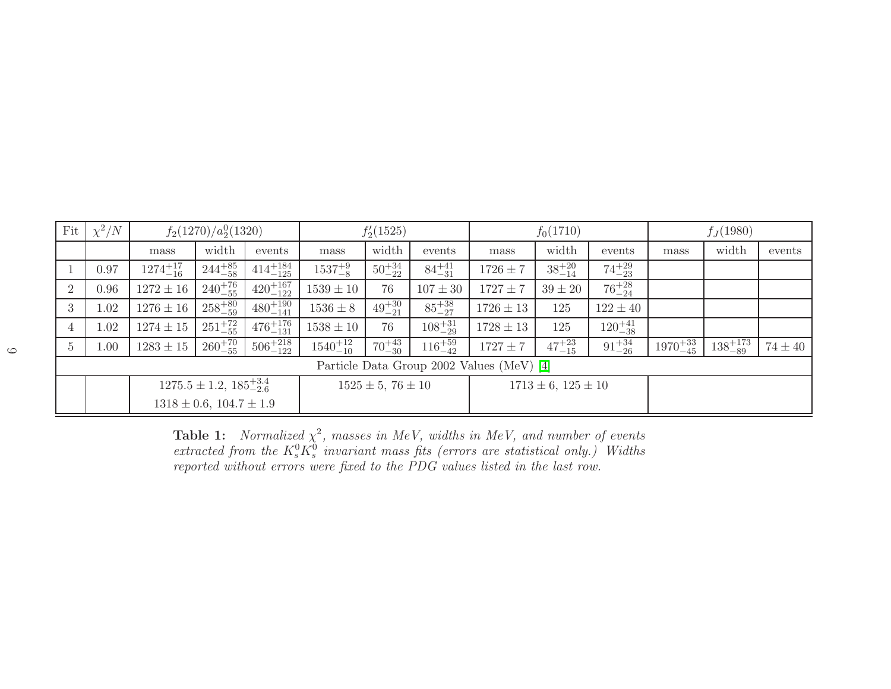| Fit                                       | $\chi^2/N$ | $f_2(1270)/a_2^0(1320)$             |                   |                     | $f'_{2}(1525)$          |                  |                   | $f_0(1710)$                 |                  |                   | $f_J(1980)$        |                    |             |
|-------------------------------------------|------------|-------------------------------------|-------------------|---------------------|-------------------------|------------------|-------------------|-----------------------------|------------------|-------------------|--------------------|--------------------|-------------|
|                                           |            | mass                                | width             | events              | mass                    | width            | events            | mass                        | width            | events            | mass               | width              | events      |
|                                           | 0.97       | $1274^{+17}_{-16}$                  | $244^{+85}_{-58}$ | $414^{+184}_{-125}$ | $1537^{+9}_{-8}$        | $50^{+34}_{-22}$ | $84^{+41}_{-31}$  | $1726 \pm 7$                | $38^{+20}_{-14}$ | $74^{+29}_{-23}$  |                    |                    |             |
| 2                                         | 0.96       | $1272 \pm 16$                       | $240^{+76}_{-55}$ | $420^{+167}_{-122}$ | $1539 \pm 10$           | 76               | $107 \pm 30$      | $1727 \pm 7$                | $39 \pm 20$      | $76^{+28}_{-24}$  |                    |                    |             |
| 3                                         | 1.02       | $1276 \pm 16$                       | $258^{+80}_{-59}$ | $480^{+190}_{-141}$ | $1536 \pm 8$            | $49^{+30}_{-21}$ | $85^{+38}_{-27}$  | $1726 \pm 13$               | 125              | $122 \pm 40$      |                    |                    |             |
| 4                                         | 1.02       | $1274 \pm 15$                       | $251^{+72}_{-55}$ | $476^{+176}_{-131}$ | $1538 \pm 10$           | 76               | $108^{+31}_{-29}$ | $1728 \pm 13$               | 125              | $120^{+41}_{-38}$ |                    |                    |             |
| $\overline{5}$                            | 1.00       | $1283 \pm 15$                       | $260^{+70}_{-55}$ | $506^{+218}_{-122}$ | $1540^{+12}_{-10}$      | $70^{+43}_{-30}$ | $116^{+59}_{-42}$ | $1727 \pm 7$                | $47^{+23}_{-15}$ | $91^{+34}_{-26}$  | $1970^{+33}_{-45}$ | $138^{+173}_{-89}$ | $74 \pm 40$ |
| Particle Data Group 2002 Values (MeV) [4] |            |                                     |                   |                     |                         |                  |                   |                             |                  |                   |                    |                    |             |
|                                           |            | $1275.5 \pm 1.2, 185_{-2.6}^{+3.4}$ |                   |                     | $1525 \pm 5, 76 \pm 10$ |                  |                   | $1713 \pm 6$ , $125 \pm 10$ |                  |                   |                    |                    |             |
|                                           |            | $1318 \pm 0.6$ , $104.7 \pm 1.9$    |                   |                     |                         |                  |                   |                             |                  |                   |                    |                    |             |

<span id="page-18-0"></span>**Table 1:** Normalized  $\chi^2$ , masses in MeV, widths in MeV, and number of events extracted from the  $K_s^0 K_s^0$  invariant mass fits (errors are statistical only.) Widths reported without errors were fixed to the PDG values listed in the last row.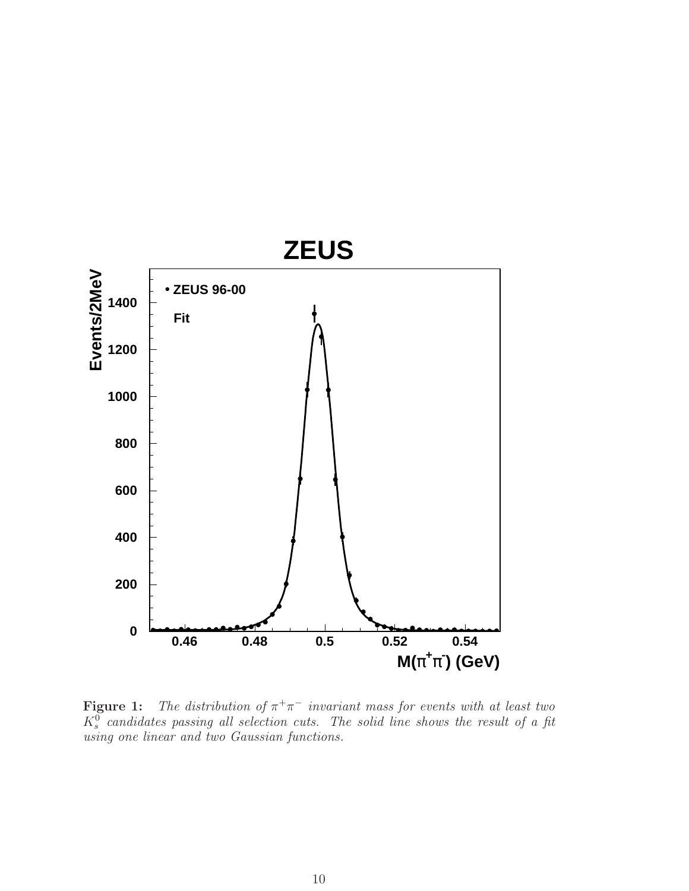

<span id="page-19-0"></span>**Figure 1:** The distribution of  $\pi^{+}\pi^{-}$  invariant mass for events with at least two  $K_s^0$  candidates passing all selection cuts. The solid line shows the result of a fit using one linear and two Gaussian functions.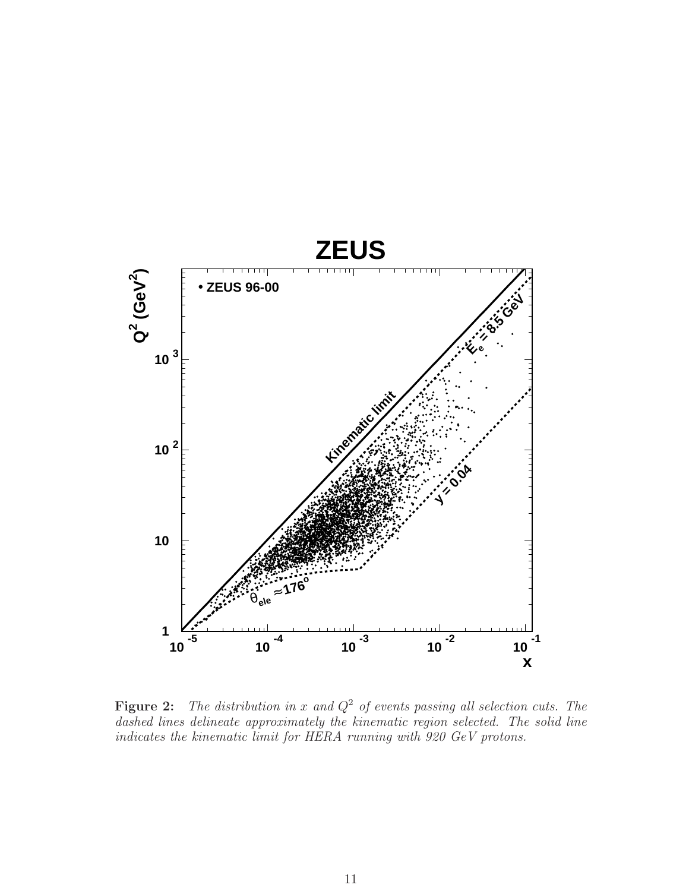

<span id="page-20-0"></span>**Figure 2:** The distribution in x and  $Q^2$  of events passing all selection cuts. The dashed lines delineate approximately the kinematic region selected. The solid line indicates the kinematic limit for HERA running with 920 GeV protons.